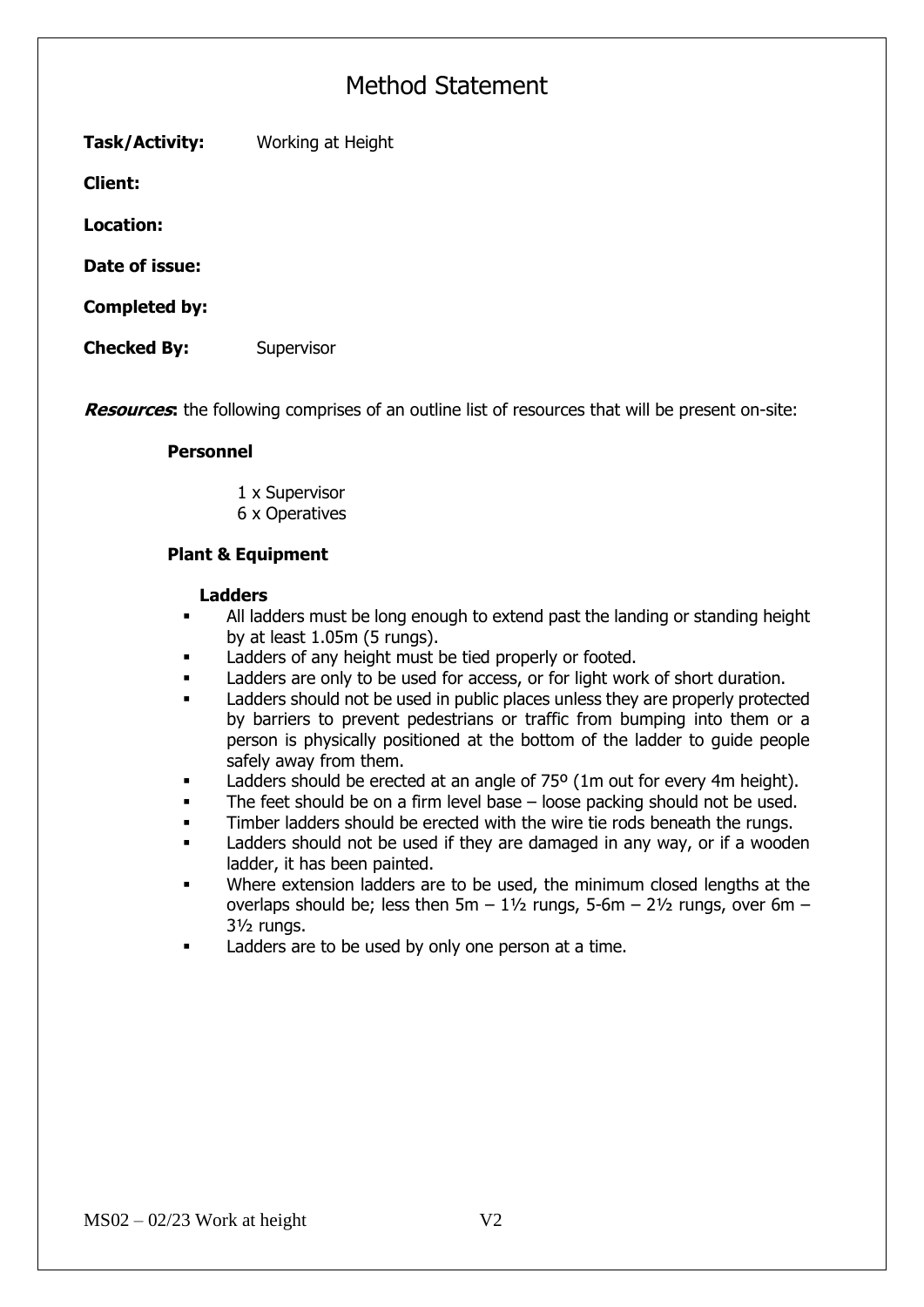**Task/Activity:** Working at Height

**Client:** 

**Location:**

**Date of issue:**

**Completed by:**

**Checked By:** Supervisor

**Resources**: the following comprises of an outline list of resources that will be present on-site:

### **Personnel**

1 x Supervisor 6 x Operatives

### **Plant & Equipment**

#### **Ladders**

- All ladders must be long enough to extend past the landing or standing height by at least 1.05m (5 rungs).
- Ladders of any height must be tied properly or footed.
- **■** Ladders are only to be used for access, or for light work of short duration.
- Ladders should not be used in public places unless they are properly protected by barriers to prevent pedestrians or traffic from bumping into them or a person is physically positioned at the bottom of the ladder to guide people safely away from them.
- Ladders should be erected at an angle of 75° (1m out for every 4m height).
- The feet should be on a firm level base  $-$  loose packing should not be used.
- **•** Timber ladders should be erected with the wire tie rods beneath the rungs.
- Ladders should not be used if they are damaged in any way, or if a wooden ladder, it has been painted.
- Where extension ladders are to be used, the minimum closed lengths at the overlaps should be; less then  $5m - 1\frac{1}{2}$  rungs,  $5-6m - 2\frac{1}{2}$  rungs, over  $6m -$ 3½ rungs.
- Ladders are to be used by only one person at a time.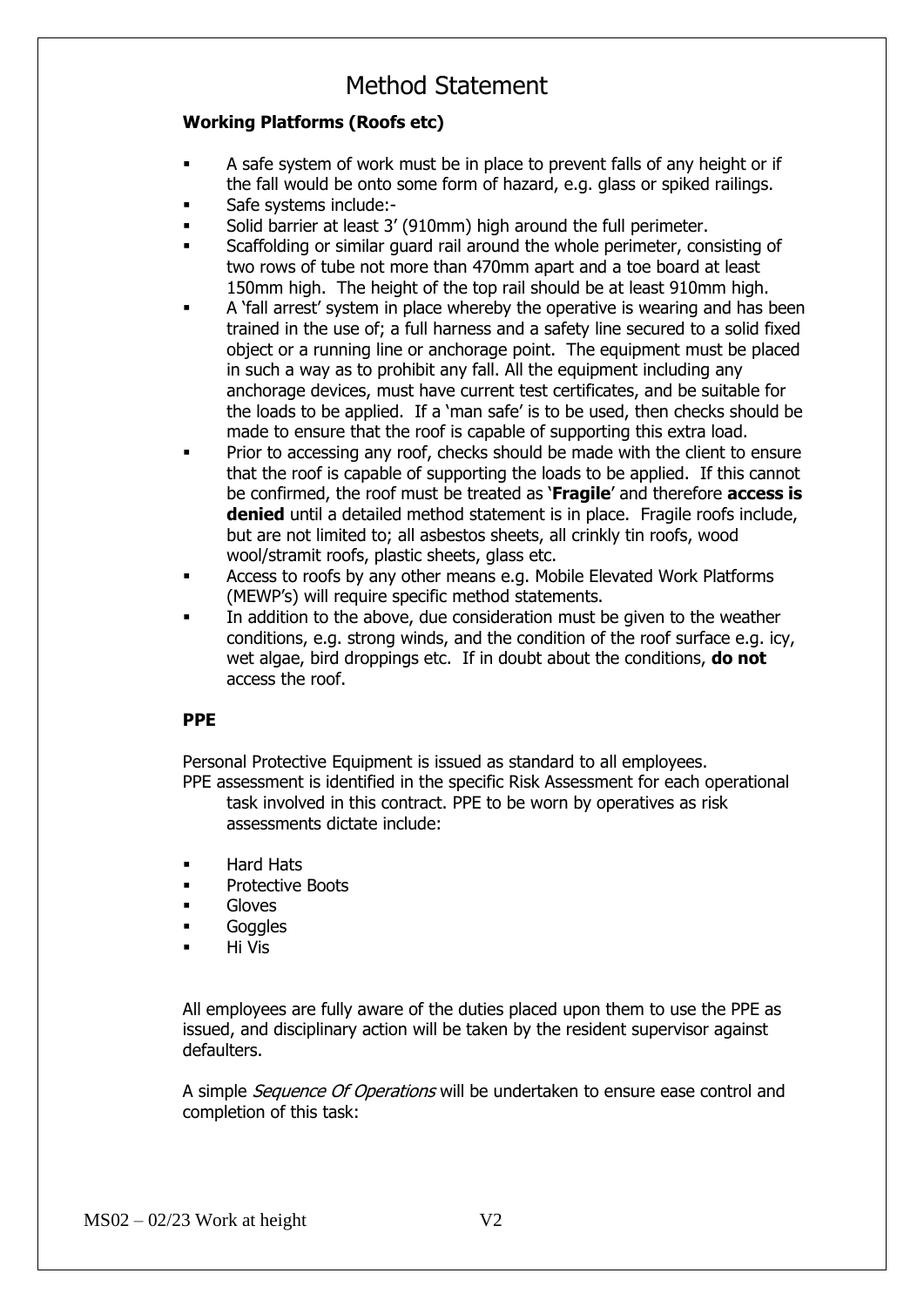### **Working Platforms (Roofs etc)**

- A safe system of work must be in place to prevent falls of any height or if the fall would be onto some form of hazard, e.g. glass or spiked railings.
- Safe systems include:-
- Solid barrier at least 3' (910mm) high around the full perimeter.
- Scaffolding or similar guard rail around the whole perimeter, consisting of two rows of tube not more than 470mm apart and a toe board at least 150mm high. The height of the top rail should be at least 910mm high.
- A 'fall arrest' system in place whereby the operative is wearing and has been trained in the use of; a full harness and a safety line secured to a solid fixed object or a running line or anchorage point. The equipment must be placed in such a way as to prohibit any fall. All the equipment including any anchorage devices, must have current test certificates, and be suitable for the loads to be applied. If a 'man safe' is to be used, then checks should be made to ensure that the roof is capable of supporting this extra load.
- Prior to accessing any roof, checks should be made with the client to ensure that the roof is capable of supporting the loads to be applied. If this cannot be confirmed, the roof must be treated as '**Fragile**' and therefore **access is denied** until a detailed method statement is in place. Fragile roofs include, but are not limited to; all asbestos sheets, all crinkly tin roofs, wood wool/stramit roofs, plastic sheets, glass etc.
- Access to roofs by any other means e.g. Mobile Elevated Work Platforms (MEWP's) will require specific method statements.
- In addition to the above, due consideration must be given to the weather conditions, e.g. strong winds, and the condition of the roof surface e.g. icy, wet algae, bird droppings etc. If in doubt about the conditions, **do not** access the roof.

### **PPE**

Personal Protective Equipment is issued as standard to all employees.

PPE assessment is identified in the specific Risk Assessment for each operational task involved in this contract. PPE to be worn by operatives as risk assessments dictate include:

- Hard Hats
- Protective Boots
- **Gloves**
- Goggles
- **Hi Vis**

All employees are fully aware of the duties placed upon them to use the PPE as issued, and disciplinary action will be taken by the resident supervisor against defaulters.

A simple *Sequence Of Operations* will be undertaken to ensure ease control and completion of this task: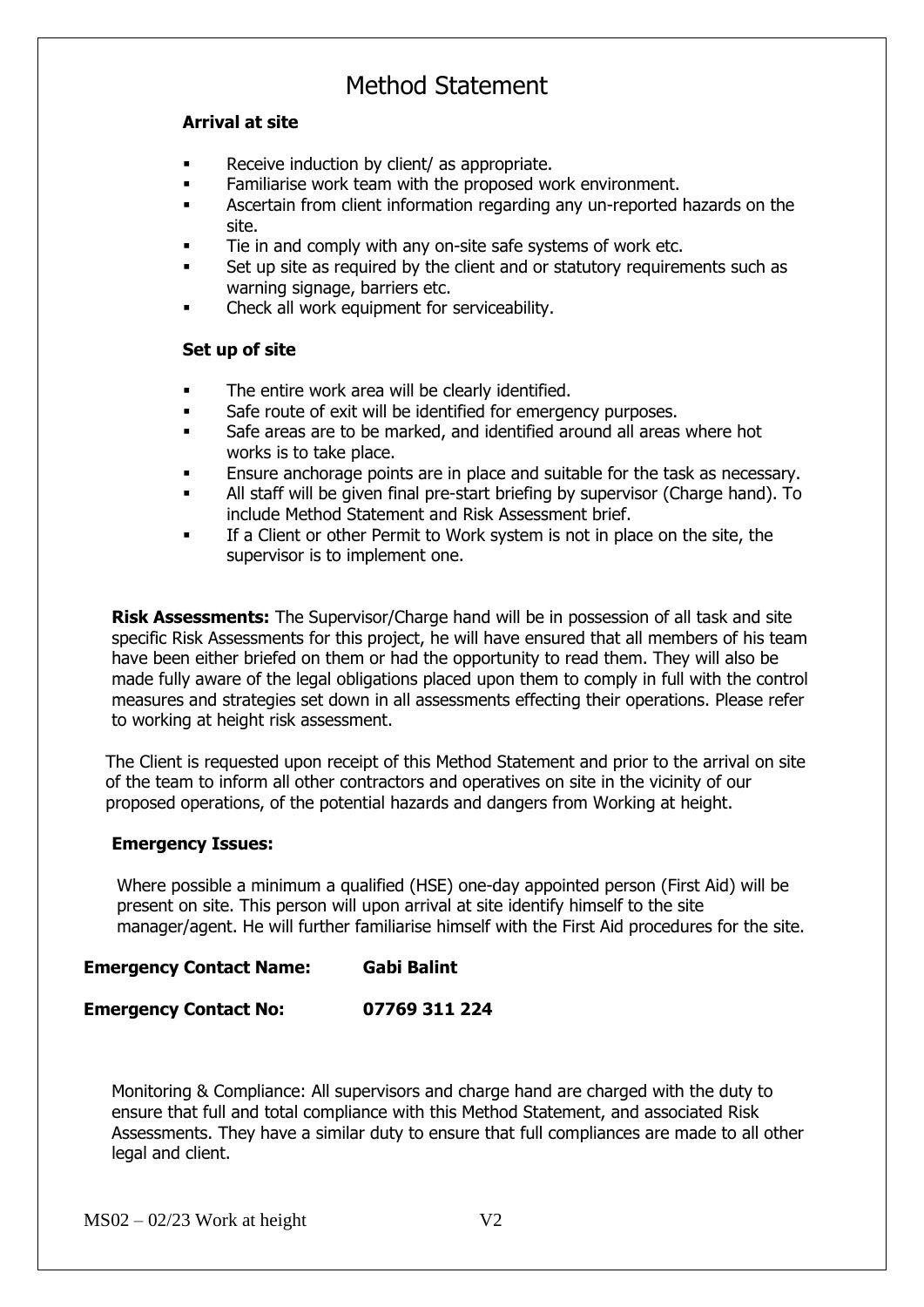### **Arrival at site**

- Receive induction by client/ as appropriate.
- **EXECT** Familiarise work team with the proposed work environment.
- Ascertain from client information regarding any un-reported hazards on the site.
- Tie in and comply with any on-site safe systems of work etc.
- Set up site as required by the client and or statutory requirements such as warning signage, barriers etc.
- Check all work equipment for serviceability.

### **Set up of site**

- The entire work area will be clearly identified.
- **•** Safe route of exit will be identified for emergency purposes.
- Safe areas are to be marked, and identified around all areas where hot works is to take place.
- **Ensure anchorage points are in place and suitable for the task as necessary.**
- All staff will be given final pre-start briefing by supervisor (Charge hand). To include Method Statement and Risk Assessment brief.
- If a Client or other Permit to Work system is not in place on the site, the supervisor is to implement one.

**Risk Assessments:** The Supervisor/Charge hand will be in possession of all task and site specific Risk Assessments for this project, he will have ensured that all members of his team have been either briefed on them or had the opportunity to read them. They will also be made fully aware of the legal obligations placed upon them to comply in full with the control measures and strategies set down in all assessments effecting their operations. Please refer to working at height risk assessment.

The Client is requested upon receipt of this Method Statement and prior to the arrival on site of the team to inform all other contractors and operatives on site in the vicinity of our proposed operations, of the potential hazards and dangers from Working at height.

### **Emergency Issues:**

Where possible a minimum a qualified (HSE) one-day appointed person (First Aid) will be present on site. This person will upon arrival at site identify himself to the site manager/agent. He will further familiarise himself with the First Aid procedures for the site.

### **Emergency Contact Name: Gabi Balint**

### **Emergency Contact No: 07769 311 224**

Monitoring & Compliance: All supervisors and charge hand are charged with the duty to ensure that full and total compliance with this Method Statement, and associated Risk Assessments. They have a similar duty to ensure that full compliances are made to all other legal and client.